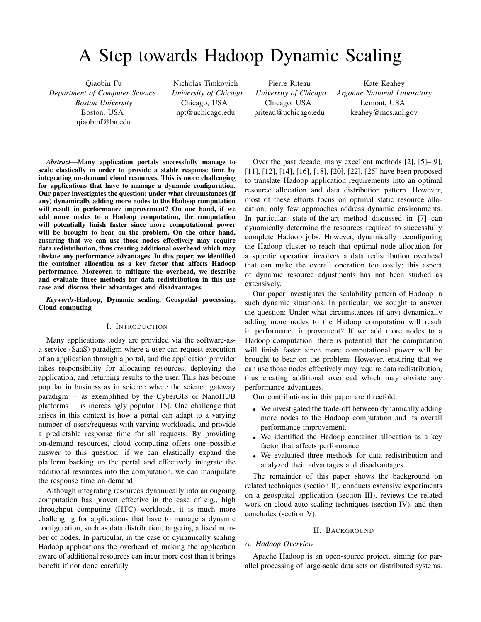# A Step towards Hadoop Dynamic Scaling

Qiaobin Fu *Department of Computer Science Boston University* Boston, USA qiaobinf@bu.edu

Nicholas Timkovich *University of Chicago* Chicago, USA npt@uchicago.edu

Pierre Riteau *University of Chicago* Chicago, USA priteau@uchicago.edu

Kate Keahey *Argonne National Laboratory* Lemont, USA keahey@mcs.anl.gov

*Abstract*—Many application portals successfully manage to scale elastically in order to provide a stable response time by integrating on-demand cloud resources. This is more challenging for applications that have to manage a dynamic configuration. Our paper investigates the question: under what circumstances (if any) dynamically adding more nodes to the Hadoop computation will result in performance improvement? On one hand, if we add more nodes to a Hadoop computation, the computation will potentially finish faster since more computational power will be brought to bear on the problem. On the other hand, ensuring that we can use those nodes effectively may require data redistribution, thus creating additional overhead which may obviate any performance advantages. In this paper, we identified the container allocation as a key factor that affects Hadoop performance. Moreover, to mitigate the overhead, we describe and evaluate three methods for data redistribution in this use case and discuss their advantages and disadvantages.

*Keywords*-Hadoop, Dynamic scaling, Geospatial processing, Cloud computing

#### I. INTRODUCTION

Many applications today are provided via the software-asa-service (SaaS) paradigm where a user can request execution of an application through a portal, and the application provider takes responsibility for allocating resources, deploying the application, and returning results to the user. This has become popular in business as in science where the science gateway paradigm  $-$  as exemplified by the CyberGIS or NanoHUB platforms  $-$  is increasingly popular [15]. One challenge that arises in this context is how a portal can adapt to a varying number of users/requests with varying workloads, and provide a predictable response time for all requests. By providing on-demand resources, cloud computing offers one possible answer to this question: if we can elastically expand the platform backing up the portal and effectively integrate the additional resources into the computation, we can manipulate the response time on demand.

Although integrating resources dynamically into an ongoing computation has proven effective in the case of e.g., high throughput computing (HTC) workloads, it is much more challenging for applications that have to manage a dynamic configuration, such as data distribution, targeting a fixed number of nodes. In particular, in the case of dynamically scaling Hadoop applications the overhead of making the application aware of additional resources can incur more cost than it brings benefit if not done carefully.

Over the past decade, many excellent methods [2], [5]–[9], [11], [12], [14], [16], [18], [20], [22], [25] have been proposed to translate Hadoop application requirements into an optimal resource allocation and data distribution pattern. However, most of these efforts focus on optimal static resource allocation; only few approaches address dynamic environments. In particular, state-of-the-art method discussed in [7] can dynamically determine the resources required to successfully complete Hadoop jobs. However, dynamically reconfiguring the Hadoop cluster to reach that optimal node allocation for a specific operation involves a data redistribution overhead that can make the overall operation too costly; this aspect of dynamic resource adjustments has not been studied as extensively.

Our paper investigates the scalability pattern of Hadoop in such dynamic situations. In particular, we sought to answer the question: Under what circumstances (if any) dynamically adding more nodes to the Hadoop computation will result in performance improvement? If we add more nodes to a Hadoop computation, there is potential that the computation will finish faster since more computational power will be brought to bear on the problem. However, ensuring that we can use those nodes effectively may require data redistribution, thus creating additional overhead which may obviate any performance advantages.

Our contributions in this paper are threefold:

- We investigated the trade-off between dynamically adding more nodes to the Hadoop computation and its overall performance improvement.
- *•* We identified the Hadoop container allocation as a key factor that affects performance.
- *•* We evaluated three methods for data redistribution and analyzed their advantages and disadvantages.

The remainder of this paper shows the background on related techniques (section II), conducts extensive experiments on a geospaital application (section III), reviews the related work on cloud auto-scaling techniques (section IV), and then concludes (section V).

## II. BACKGROUND

# *A. Hadoop Overview*

Apache Hadoop is an open-source project, aiming for parallel processing of large-scale data sets on distributed systems.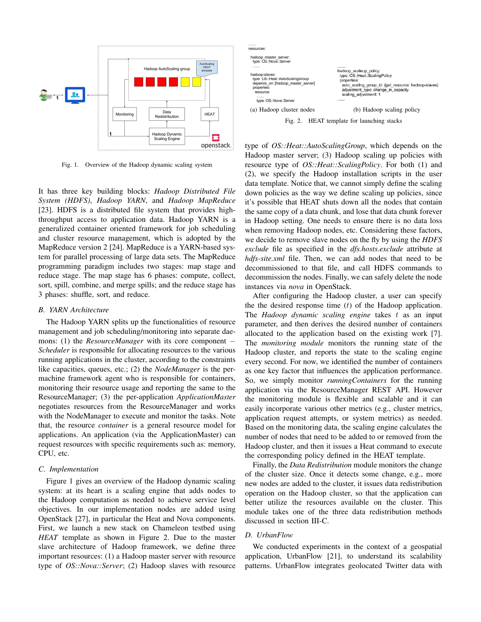

Fig. 1. Overview of the Hadoop dynamic scaling system

It has three key building blocks: *Hadoop Distributed File System (HDFS)*, *Hadoop YARN*, and *Hadoop MapReduce* [23]. HDFS is a distributed file system that provides highthroughput access to application data. Hadoop YARN is a generalized container oriented framework for job scheduling and cluster resource management, which is adopted by the MapReduce version 2 [24]. MapReduce is a YARN-based system for parallel processing of large data sets. The MapReduce programming paradigm includes two stages: map stage and reduce stage. The map stage has 6 phases: compute, collect, sort, spill, combine, and merge spills; and the reduce stage has 3 phases: shuffle, sort, and reduce.

# *B. YARN Architecture*

The Hadoop YARN splits up the functionalities of resource management and job scheduling/monitoring into separate daemons: (1) the *ResourceManager* with its core component *Scheduler* is responsible for allocating resources to the various running applications in the cluster, according to the constraints like capacities, queues, etc.; (2) the *NodeManager* is the permachine framework agent who is responsible for containers, monitoring their resource usage and reporting the same to the ResourceManager; (3) the per-application *ApplicationMaster* negotiates resources from the ResourceManager and works with the NodeManager to execute and monitor the tasks. Note that, the resource *container* is a general resource model for applications. An application (via the ApplicationMaster) can request resources with specific requirements such as: memory, CPU, etc.

#### *C. Implementation*

Figure 1 gives an overview of the Hadoop dynamic scaling system: at its heart is a scaling engine that adds nodes to the Hadoop computation as needed to achieve service level objectives. In our implementation nodes are added using OpenStack [27], in particular the Heat and Nova components. First, we launch a new stack on Chameleon testbed using *HEAT* template as shown in Figure 2. Due to the master slave architecture of Hadoop framework, we define three important resources: (1) a Hadoop master server with resource type of *OS::Nova::Server*; (2) Hadoop slaves with resource



type of *OS::Heat::AutoScalingGroup*, which depends on the Hadoop master server; (3) Hadoop scaling up policies with resource type of *OS::Heat::ScalingPolicy*. For both (1) and (2), we specify the Hadoop installation scripts in the user data template. Notice that, we cannot simply define the scaling down policies as the way we define scaling up policies, since it's possible that HEAT shuts down all the nodes that contain the same copy of a data chunk, and lose that data chunk forever in Hadoop setting. One needs to ensure there is no data loss when removing Hadoop nodes, etc. Considering these factors, we decide to remove slave nodes on the fly by using the *HDFS exclude* file as specified in the *dfs.hosts.exclude* attribute at *hdfs-site.xml* file. Then, we can add nodes that need to be decommissioned to that file, and call HDFS commands to decommission the nodes. Finally, we can safely delete the node instances via *nova* in OpenStack.

After configuring the Hadoop cluster, a user can specify the the desired response time (*t*) of the Hadoop application. The *Hadoop dynamic scaling engine* takes *t* as an input parameter, and then derives the desired number of containers allocated to the application based on the existing work [7]. The *monitoring module* monitors the running state of the Hadoop cluster, and reports the state to the scaling engine every second. For now, we identified the number of containers as one key factor that influences the application performance. So, we simply monitor *runningContainers* for the running application via the ResourceManager REST API. However the monitoring module is flexible and scalable and it can easily incorporate various other metrics (e.g., cluster metrics, application request attempts, or system metrics) as needed. Based on the monitoring data, the scaling engine calculates the number of nodes that need to be added to or removed from the Hadoop cluster, and then it issues a Heat command to execute the corresponding policy defined in the HEAT template.

Finally, the *Data Redistribution* module monitors the change of the cluster size. Once it detects some change, e.g., more new nodes are added to the cluster, it issues data redistribution operation on the Hadoop cluster, so that the application can better utilize the resources available on the cluster. This module takes one of the three data redistribution methods discussed in section III-C.

# *D. UrbanFlow*

We conducted experiments in the context of a geospatial application, UrbanFlow [21], to understand its scalability patterns. UrbanFlow integrates geolocated Twitter data with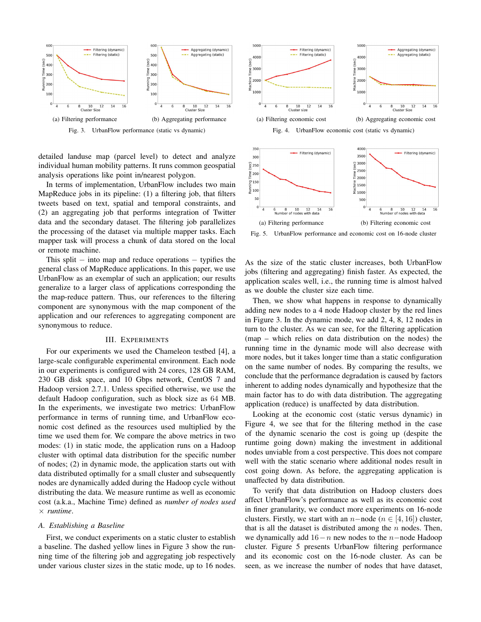

detailed landuse map (parcel level) to detect and analyze individual human mobility patterns. It runs common geospatial analysis operations like point in/nearest polygon.

In terms of implementation, UrbanFlow includes two main MapReduce jobs in its pipeline: (1) a filtering job, that filters tweets based on text, spatial and temporal constraints, and (2) an aggregating job that performs integration of Twitter data and the secondary dataset. The filtering job parallelizes the processing of the dataset via multiple mapper tasks. Each mapper task will process a chunk of data stored on the local or remote machine.

This split  $-$  into map and reduce operations  $-$  typifies the general class of MapReduce applications. In this paper, we use UrbanFlow as an exemplar of such an application; our results generalize to a larger class of applications corresponding the the map-reduce pattern. Thus, our references to the filtering component are synonymous with the map component of the application and our references to aggregating component are synonymous to reduce.

#### III. EXPERIMENTS

For our experiments we used the Chameleon testbed [4], a large-scale configurable experimental environment. Each node in our experiments is configured with 24 cores, 128 GB RAM, 230 GB disk space, and 10 Gbps network, CentOS 7 and Hadoop version 2.7.1. Unless specified otherwise, we use the default Hadoop configuration, such as block size as 64 MB. In the experiments, we investigate two metrics: UrbanFlow performance in terms of running time, and UrbanFlow economic cost defined as the resources used multiplied by the time we used them for. We compare the above metrics in two modes: (1) in static mode, the application runs on a Hadoop cluster with optimal data distribution for the specific number of nodes; (2) in dynamic mode, the application starts out with data distributed optimally for a small cluster and subsequently nodes are dynamically added during the Hadoop cycle without distributing the data. We measure runtime as well as economic cost (a.k.a., Machine Time) defined as *number of nodes used* ⇥ *runtime*.

# *A. Establishing a Baseline*

First, we conduct experiments on a static cluster to establish a baseline. The dashed yellow lines in Figure 3 show the running time of the filtering job and aggregating job respectively under various cluster sizes in the static mode, up to 16 nodes.





Fig. 5. UrbanFlow performance and economic cost on 16-node cluster

As the size of the static cluster increases, both UrbanFlow jobs (filtering and aggregating) finish faster. As expected, the application scales well, i.e., the running time is almost halved as we double the cluster size each time.

Then, we show what happens in response to dynamically adding new nodes to a 4 node Hadoop cluster by the red lines in Figure 3. In the dynamic mode, we add 2, 4, 8, 12 nodes in turn to the cluster. As we can see, for the filtering application (map – which relies on data distribution on the nodes) the running time in the dynamic mode will also decrease with more nodes, but it takes longer time than a static configuration on the same number of nodes. By comparing the results, we conclude that the performance degradation is caused by factors inherent to adding nodes dynamically and hypothesize that the main factor has to do with data distribution. The aggregating application (reduce) is unaffected by data distribution.

Looking at the economic cost (static versus dynamic) in Figure 4, we see that for the filtering method in the case of the dynamic scenario the cost is going up (despite the runtime going down) making the investment in additional nodes unviable from a cost perspective. This does not compare well with the static scenario where additional nodes result in cost going down. As before, the aggregating application is unaffected by data distribution.

To verify that data distribution on Hadoop clusters does affect UrbanFlow's performance as well as its economic cost in finer granularity, we conduct more experiments on 16-node clusters. Firstly, we start with an  $n$ –node ( $n \in [4, 16]$ ) cluster, that is all the dataset is distributed among the *n* nodes. Then, we dynamically add  $16 - n$  new nodes to the *n*-node Hadoop cluster. Figure 5 presents UrbanFlow filtering performance and its economic cost on the 16-node cluster. As can be seen, as we increase the number of nodes that have dataset,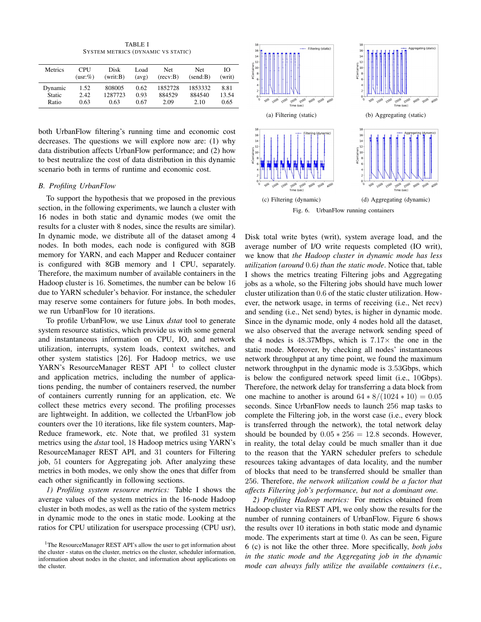TABLE I SYSTEM METRICS (DYNAMIC VS STATIC)

| <b>Metrics</b> | <b>CPU</b><br>$(usr:\%)$ | Disk<br>(writ:B) | Load<br>(avg) | Net.<br>(recv:B) | Net.<br>(send:B) | Ю<br>(writ) |
|----------------|--------------------------|------------------|---------------|------------------|------------------|-------------|
| Dynamic        | 1.52                     | 808005           | 0.62          | 1852728          | 1853332          | 8.81        |
| <b>Static</b>  | 2.42                     | 1287723          | 0.93          | 884529           | 884540           | 13.54       |
| Ratio          | 0.63                     | 0.63             | 0.67          | 2.09             | 2.10             | 0.65        |

both UrbanFlow filtering's running time and economic cost decreases. The questions we will explore now are: (1) why data distribution affects UrbanFlow performance; and (2) how to best neutralize the cost of data distribution in this dynamic scenario both in terms of runtime and economic cost.

## *B. Profiling UrbanFlow*

To support the hypothesis that we proposed in the previous section, in the following experiments, we launch a cluster with 16 nodes in both static and dynamic modes (we omit the results for a cluster with 8 nodes, since the results are similar). In dynamic mode, we distribute all of the dataset among 4 nodes. In both modes, each node is configured with 8GB memory for YARN, and each Mapper and Reducer container is configured with 8GB memory and 1 CPU, separately. Therefore, the maximum number of available containers in the Hadoop cluster is 16. Sometimes, the number can be below 16 due to YARN scheduler's behavior. For instance, the scheduler may reserve some containers for future jobs. In both modes, we run UrbanFlow for 10 iterations.

To profile UrbanFlow, we use Linux *dstat* tool to generate system resource statistics, which provide us with some general and instantaneous information on CPU, IO, and network utilization, interrupts, system loads, context switches, and other system statistics [26]. For Hadoop metrics, we use YARN's ResourceManager REST API $<sup>1</sup>$  to collect cluster</sup> and application metrics, including the number of applications pending, the number of containers reserved, the number of containers currently running for an application, etc. We collect these metrics every second. The profiling processes are lightweight. In addition, we collected the UrbanFlow job counters over the 10 iterations, like file system counters, Map-Reduce framework, etc. Note that, we profiled 31 system metrics using the *dstat* tool, 18 Hadoop metrics using YARN's ResourceManager REST API, and 31 counters for Filtering job, 51 counters for Aggregating job. After analyzing these metrics in both modes, we only show the ones that differ from each other significantly in following sections.

*1) Profiling system resource metrics:* Table I shows the average values of the system metrics in the 16-node Hadoop cluster in both modes, as well as the ratio of the system metrics in dynamic mode to the ones in static mode. Looking at the ratios for CPU utilization for userspace processing (CPU usr),



Disk total write bytes (writ), system average load, and the average number of I/O write requests completed (IO writ), we know that *the Hadoop cluster in dynamic mode has less utilization (around* 0*.*6*) than the static mode*. Notice that, table I shows the metrics treating Filtering jobs and Aggregating jobs as a whole, so the Filtering jobs should have much lower cluster utilization than 0*.*6 of the static cluster utilization. However, the network usage, in terms of receiving (i.e., Net recv) and sending (i.e., Net send) bytes, is higher in dynamic mode. Since in the dynamic mode, only 4 nodes hold all the dataset, we also observed that the average network sending speed of the 4 nodes is  $48.37Mbps$ , which is  $7.17\times$  the one in the static mode. Moreover, by checking all nodes' instantaneous network throughput at any time point, we found the maximum network throughput in the dynamic mode is 3*.*53Gbps, which is below the configured network speed limit (i.e., 10Gbps). Therefore, the network delay for transferring a data block from one machine to another is around  $64 * 8/(1024 * 10) = 0.05$ seconds. Since UrbanFlow needs to launch 256 map tasks to complete the Filtering job, in the worst case (i.e., every block is transferred through the network), the total network delay should be bounded by  $0.05 * 256 = 12.8$  seconds. However, in reality, the total delay could be much smaller than it due to the reason that the YARN scheduler prefers to schedule resources taking advantages of data locality, and the number of blocks that need to be transferred should be smaller than 256. Therefore, *the network utilization could be a factor that affects Filtering job's performance, but not a dominant one.*

*2) Profiling Hadoop metrics:* For metrics obtained from Hadoop cluster via REST API, we only show the results for the number of running containers of UrbanFlow. Figure 6 shows the results over 10 iterations in both static mode and dynamic mode. The experiments start at time 0. As can be seen, Figure 6 (c) is not like the other three. More specifically, *both jobs in the static mode and the Aggregating job in the dynamic mode can always fully utilize the available containers (i.e.,*

<sup>&</sup>lt;sup>1</sup>The ResourceManager REST API's allow the user to get information about the cluster - status on the cluster, metrics on the cluster, scheduler information, information about nodes in the cluster, and information about applications on the cluster.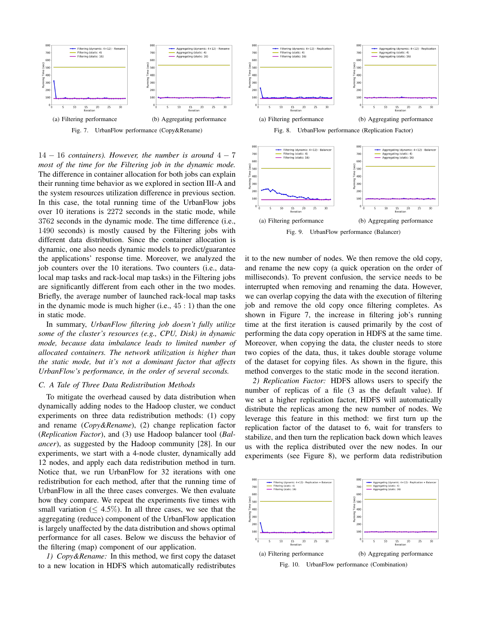

 $14 - 16$  *containers*). However, the number is around  $4 - 7$ *most of the time for the Filtering job in the dynamic mode.* The difference in container allocation for both jobs can explain their running time behavior as we explored in section III-A and the system resources utilization difference in previous section. In this case, the total running time of the UrbanFlow jobs over 10 iterations is 2272 seconds in the static mode, while 3762 seconds in the dynamic mode. The time difference (i.e., 1490 seconds) is mostly caused by the Filtering jobs with different data distribution. Since the container allocation is dynamic, one also needs dynamic models to predict/guarantee the applications' response time. Moreover, we analyzed the job counters over the 10 iterations. Two counters (i.e., datalocal map tasks and rack-local map tasks) in the Filtering jobs are significantly different from each other in the two modes. Briefly, the average number of launched rack-local map tasks in the dynamic mode is much higher  $(i.e., 45 : 1)$  than the one in static mode.

In summary, *UrbanFlow filtering job doesn't fully utilize some of the cluster's resources (e.g., CPU, Disk) in dynamic mode, because data imbalance leads to limited number of allocated containers. The network utilization is higher than the static mode, but it's not a dominant factor that affects UrbanFlow's performance, in the order of several seconds.*

## *C. A Tale of Three Data Redistribution Methods*

To mitigate the overhead caused by data distribution when dynamically adding nodes to the Hadoop cluster, we conduct experiments on three data redistribution methods: (1) copy and rename (*Copy&Rename*), (2) change replication factor (*Replication Factor*), and (3) use Hadoop balancer tool (*Balancer*), as suggested by the Hadoop community [28]. In our experiments, we start with a 4-node cluster, dynamically add 12 nodes, and apply each data redistribution method in turn. Notice that, we run UrbanFlow for 32 iterations with one redistribution for each method, after that the running time of UrbanFlow in all the three cases converges. We then evaluate how they compare. We repeat the experiments five times with small variation ( $\leq 4.5\%$ ). In all three cases, we see that the aggregating (reduce) component of the UrbanFlow application is largely unaffected by the data distribution and shows optimal performance for all cases. Below we discuss the behavior of the filtering (map) component of our application.

*1) Copy&Rename:* In this method, we first copy the dataset to a new location in HDFS which automatically redistributes





it to the new number of nodes. We then remove the old copy, and rename the new copy (a quick operation on the order of milliseconds). To prevent confusion, the service needs to be interrupted when removing and renaming the data. However, we can overlap copying the data with the execution of filtering job and remove the old copy once filtering completes. As shown in Figure 7, the increase in filtering job's running time at the first iteration is caused primarily by the cost of performing the data copy operation in HDFS at the same time. Moreover, when copying the data, the cluster needs to store two copies of the data, thus, it takes double storage volume of the dataset for copying files. As shown in the figure, this method converges to the static mode in the second iteration.

*2) Replication Factor:* HDFS allows users to specify the number of replicas of a file (3 as the default value). If we set a higher replication factor, HDFS will automatically distribute the replicas among the new number of nodes. We leverage this feature in this method: we first turn up the replication factor of the dataset to 6, wait for transfers to stabilize, and then turn the replication back down which leaves us with the replica distributed over the new nodes. In our experiments (see Figure 8), we perform data redistribution



Fig. 10. UrbanFlow performance (Combination)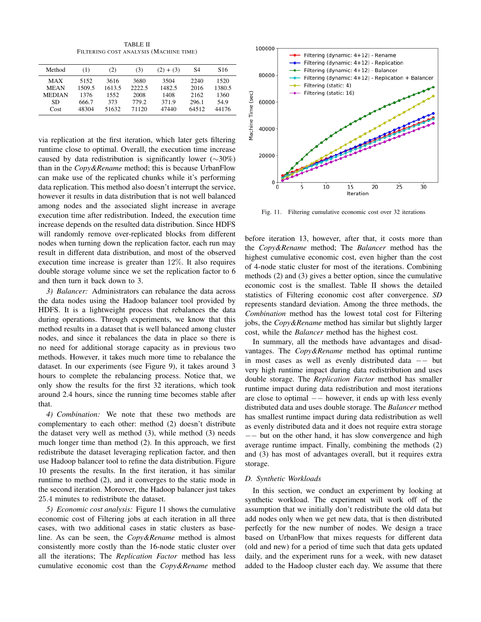TABLE II FILTERING COST ANALYSIS (MACHINE TIME)

| Method        | (1)    | (2)    | (3)    | $(2) + (3)$ | S4    | S <sub>16</sub> |
|---------------|--------|--------|--------|-------------|-------|-----------------|
| MAX           | 5152   | 3616   | 3680   | 3504        | 2240  | 1520            |
| <b>MEAN</b>   | 1509.5 | 1613.5 | 2222.5 | 1482.5      | 2016  | 1380.5          |
| <b>MEDIAN</b> | 1376   | 1552   | 2008   | 1408        | 2162  | 1360            |
| SD            | 666.7  | 373    | 779.2  | 371.9       | 296.1 | 54.9            |
| Cost          | 48304  | 51632  | 71120  | 47440       | 64512 | 44176           |
|               |        |        |        |             |       |                 |

via replication at the first iteration, which later gets filtering runtime close to optimal. Overall, the execution time increase caused by data redistribution is significantly lower ( $\sim$ 30%) than in the *Copy&Rename* method; this is because UrbanFlow can make use of the replicated chunks while it's performing data replication. This method also doesn't interrupt the service, however it results in data distribution that is not well balanced among nodes and the associated slight increase in average execution time after redistribution. Indeed, the execution time increase depends on the resulted data distribution. Since HDFS will randomly remove over-replicated blocks from different nodes when turning down the replication factor, each run may result in different data distribution, and most of the observed execution time increase is greater than 12%. It also requires double storage volume since we set the replication factor to 6 and then turn it back down to 3.

*3) Balancer:* Administrators can rebalance the data across the data nodes using the Hadoop balancer tool provided by HDFS. It is a lightweight process that rebalances the data during operations. Through experiments, we know that this method results in a dataset that is well balanced among cluster nodes, and since it rebalances the data in place so there is no need for additional storage capacity as in previous two methods. However, it takes much more time to rebalance the dataset. In our experiments (see Figure 9), it takes around 3 hours to complete the rebalancing process. Notice that, we only show the results for the first 32 iterations, which took around 2.4 hours, since the running time becomes stable after that.

*4) Combination:* We note that these two methods are complementary to each other: method (2) doesn't distribute the dataset very well as method (3), while method (3) needs much longer time than method (2). In this approach, we first redistribute the dataset leveraging replication factor, and then use Hadoop balancer tool to refine the data distribution. Figure 10 presents the results. In the first iteration, it has similar runtime to method (2), and it converges to the static mode in the second iteration. Moreover, the Hadoop balancer just takes 25*.*4 minutes to redistribute the dataset.

*5) Economic cost analysis:* Figure 11 shows the cumulative economic cost of Filtering jobs at each iteration in all three cases, with two additional cases in static clusters as baseline. As can be seen, the *Copy&Rename* method is almost consistently more costly than the 16-node static cluster over all the iterations; The *Replication Factor* method has less cumulative economic cost than the *Copy&Rename* method



Fig. 11. Filtering cumulative economic cost over 32 iterations

before iteration 13, however, after that, it costs more than the *Copy&Rename* method; The *Balancer* method has the highest cumulative economic cost, even higher than the cost of 4-node static cluster for most of the iterations. Combining methods (2) and (3) gives a better option, since the cumulative economic cost is the smallest. Table II shows the detailed statistics of Filtering economic cost after convergence. *SD* represents standard deviation. Among the three methods, the *Combination* method has the lowest total cost for Filtering jobs, the *Copy&Rename* method has similar but slightly larger cost, while the *Balancer* method has the highest cost.

In summary, all the methods have advantages and disadvantages. The *Copy&Rename* method has optimal runtime in most cases as well as evenly distributed data  $-$  but very high runtime impact during data redistribution and uses double storage. The *Replication Factor* method has smaller runtime impact during data redistribution and most iterations are close to optimal  $-$  however, it ends up with less evenly distributed data and uses double storage. The *Balancer* method has smallest runtime impact during data redistribution as well as evenly distributed data and it does not require extra storage  $--$  but on the other hand, it has slow convergence and high average runtime impact. Finally, combining the methods (2) and (3) has most of advantages overall, but it requires extra storage.

## *D. Synthetic Workloads*

In this section, we conduct an experiment by looking at synthetic workload. The experiment will work off of the assumption that we initially don't redistribute the old data but add nodes only when we get new data, that is then distributed perfectly for the new number of nodes. We design a trace based on UrbanFlow that mixes requests for different data (old and new) for a period of time such that data gets updated daily, and the experiment runs for a week, with new dataset added to the Hadoop cluster each day. We assume that there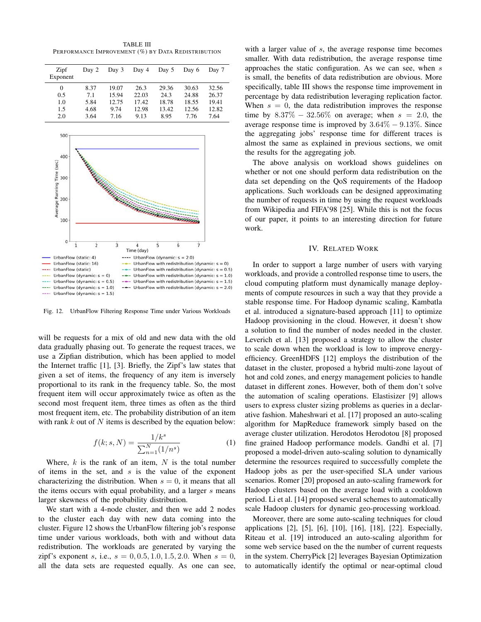TABLE III PERFORMANCE IMPROVEMENT (%) BY DATA REDISTRIBUTION

| Zipf<br>Exponent  | Day 2                | Day 3                   | Day 4                  | Day 5                  | Day 6                  | Day 7                  |
|-------------------|----------------------|-------------------------|------------------------|------------------------|------------------------|------------------------|
| $\Omega$<br>0.5   | 8.37<br>7.1          | 19.07<br>15.94<br>12.75 | 26.3<br>22.03          | 29.36<br>24.3          | 30.63<br>24.88         | 32.56<br>26.37         |
| 1.0<br>1.5<br>2.0 | 5.84<br>4.68<br>3.64 | 9.74<br>7.16            | 17.42<br>12.98<br>9.13 | 18.78<br>13.42<br>8.95 | 18.55<br>12.56<br>7.76 | 19.41<br>12.82<br>7.64 |



Fig. 12. UrbanFlow Filtering Response Time under Various Workloads

will be requests for a mix of old and new data with the old data gradually phasing out. To generate the request traces, we use a Zipfian distribution, which has been applied to model the Internet traffic [1], [3]. Briefly, the Zipf's law states that given a set of items, the frequency of any item is inversely proportional to its rank in the frequency table. So, the most frequent item will occur approximately twice as often as the second most frequent item, three times as often as the third most frequent item, etc. The probability distribution of an item with rank *k* out of *N* items is described by the equation below:

$$
f(k; s, N) = \frac{1/k^s}{\sum_{n=1}^{N} (1/n^s)}
$$
 (1)

Where, *k* is the rank of an item, *N* is the total number of items in the set, and *s* is the value of the exponent characterizing the distribution. When  $s = 0$ , it means that all the items occurs with equal probability, and a larger *s* means larger skewness of the probability distribution.

We start with a 4-node cluster, and then we add 2 nodes to the cluster each day with new data coming into the cluster. Figure 12 shows the UrbanFlow filtering job's response time under various workloads, both with and without data redistribution. The workloads are generated by varying the zipf's exponent *s*, i.e.,  $s = 0, 0.5, 1.0, 1.5, 2.0$ . When  $s = 0$ , all the data sets are requested equally. As one can see,

with a larger value of *s*, the average response time becomes smaller. With data redistribution, the average response time approaches the static configuration. As we can see, when *s* is small, the benefits of data redistribution are obvious. More specifically, table III shows the response time improvement in percentage by data redistribution leveraging replication factor. When  $s = 0$ , the data redistribution improves the response time by  $8.37\% - 32.56\%$  on average; when  $s = 2.0$ , the average response time is improved by  $3.64\% - 9.13\%$ . Since the aggregating jobs' response time for different traces is almost the same as explained in previous sections, we omit the results for the aggregating job.

The above analysis on workload shows guidelines on whether or not one should perform data redistribution on the data set depending on the QoS requirements of the Hadoop applications. Such workloads can be designed approximating the number of requests in time by using the request workloads from Wikipedia and FIFA'98 [25]. While this is not the focus of our paper, it points to an interesting direction for future work.

#### IV. RELATED WORK

In order to support a large number of users with varying workloads, and provide a controlled response time to users, the cloud computing platform must dynamically manage deployments of compute resources in such a way that they provide a stable response time. For Hadoop dynamic scaling, Kambatla et al. introduced a signature-based approach [11] to optimize Hadoop provisioning in the cloud. However, it doesn't show a solution to find the number of nodes needed in the cluster. Leverich et al. [13] proposed a strategy to allow the cluster to scale down when the workload is low to improve energyefficiency. GreenHDFS [12] employs the distribution of the dataset in the cluster, proposed a hybrid multi-zone layout of hot and cold zones, and energy management policies to handle dataset in different zones. However, both of them don't solve the automation of scaling operations. Elastisizer [9] allows users to express cluster sizing problems as queries in a declarative fashion. Maheshwari et al. [17] proposed an auto-scaling algorithm for MapReduce framework simply based on the average cluster utilization. Herodotos Herodotou [8] proposed fine grained Hadoop performance models. Gandhi et al. [7] proposed a model-driven auto-scaling solution to dynamically determine the resources required to successfully complete the Hadoop jobs as per the user-specified SLA under various scenarios. Romer [20] proposed an auto-scaling framework for Hadoop clusters based on the average load with a cooldown period. Li et al. [14] proposed several schemes to automatically scale Hadoop clusters for dynamic geo-processing workload.

Moreover, there are some auto-scaling techniques for cloud applications [2], [5], [6], [10], [16], [18], [22]. Especially, Riteau et al. [19] introduced an auto-scaling algorithm for some web service based on the the number of current requests in the system. CherryPick [2] leverages Bayesian Optimization to automatically identify the optimal or near-optimal cloud